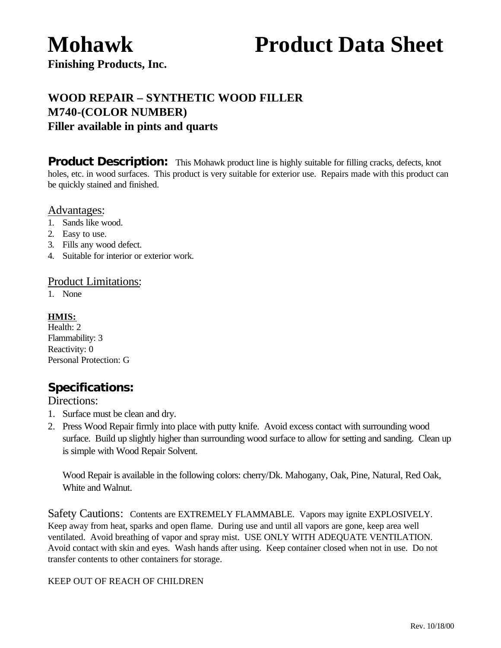# **Mohawk Product Data Sheet**

**Finishing Products, Inc.**

# **WOOD REPAIR – SYNTHETIC WOOD FILLER M740-(COLOR NUMBER) Filler available in pints and quarts**

**Product Description:** This Mohawk product line is highly suitable for filling cracks, defects, knot holes, etc. in wood surfaces. This product is very suitable for exterior use. Repairs made with this product can be quickly stained and finished.

### Advantages:

- 1. Sands like wood.
- 2. Easy to use.
- 3. Fills any wood defect.
- 4. Suitable for interior or exterior work.

#### Product Limitations:

1. None

#### **HMIS:**

Health: 2 Flammability: 3 Reactivity: 0 Personal Protection: G

## *Specifications:*

#### Directions:

- 1. Surface must be clean and dry.
- 2. Press Wood Repair firmly into place with putty knife. Avoid excess contact with surrounding wood surface. Build up slightly higher than surrounding wood surface to allow for setting and sanding. Clean up is simple with Wood Repair Solvent.

Wood Repair is available in the following colors: cherry/Dk. Mahogany, Oak, Pine, Natural, Red Oak, White and Walnut.

Safety Cautions: Contents are EXTREMELY FLAMMABLE. Vapors may ignite EXPLOSIVELY. Keep away from heat, sparks and open flame. During use and until all vapors are gone, keep area well ventilated. Avoid breathing of vapor and spray mist. USE ONLY WITH ADEQUATE VENTILATION. Avoid contact with skin and eyes. Wash hands after using. Keep container closed when not in use. Do not transfer contents to other containers for storage.

#### KEEP OUT OF REACH OF CHILDREN